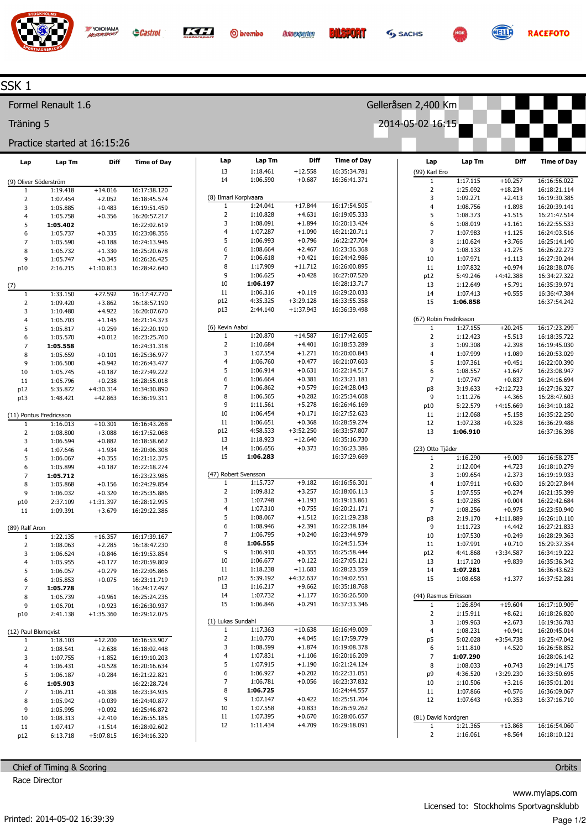

O brembo



Gelleråsen 2,400 Km

2014-05-02 16:15



**RACEFOTO** 

## SSK 1

Formel Renault 1.6

Träning 5

## Practice started at 16:15:26

YOKOHAMA

| Lap                     | Lap Tm                  | Diff        | <b>Time of Day</b> | Lap                           | Lap Tm                | Diff        | <b>Time of Day</b> | Lap                    | Lap Tm   | Diff        | <b>Time of Day</b> |
|-------------------------|-------------------------|-------------|--------------------|-------------------------------|-----------------------|-------------|--------------------|------------------------|----------|-------------|--------------------|
|                         |                         |             |                    | 13                            | 1:18.461              | $+12.558$   | 16:35:34.781       | (99) Karl Ero          |          |             |                    |
| (9) Oliver Söderström   |                         |             |                    | 14                            | 1:06.590              | $+0.687$    | 16:36:41.371       | $\mathbf{1}$           | 1:17.115 | $+10.257$   | 16:16:56.022       |
| 1                       | 1:19.418                | $+14.016$   | 16:17:38.120       |                               |                       |             |                    | $\mathsf 2$            | 1:25.092 | $+18.234$   | 16:18:21.114       |
| $\mathbf 2$             | 1:07.454                | $+2.052$    | 16:18:45.574       |                               | (8) Ilmari Korpivaara |             |                    | 3                      | 1:09.271 | $+2.413$    | 16:19:30.385       |
| 3                       | 1:05.885                | $+0.483$    | 16:19:51.459       | 1                             | 1:24.041              | $+17.844$   | 16:17:54.505       | $\overline{4}$         | 1:08.756 | $+1.898$    | 16:20:39.141       |
| $\overline{\mathbf{4}}$ | 1:05.758                | $+0.356$    | 16:20:57.217       | $\mathbf 2$                   | 1:10.828              | $+4.631$    | 16:19:05.333       | 5                      | 1:08.373 | $+1.515$    | 16:21:47.514       |
| 5                       | 1:05.402                |             | 16:22:02.619       | 3                             | 1:08.091              | $+1.894$    | 16:20:13.424       | 6                      | 1:08.019 | $+1.161$    | 16:22:55.533       |
| 6                       | 1:05.737                | $+0.335$    | 16:23:08.356       | 4                             | 1:07.287              | $+1.090$    | 16:21:20.711       | $\overline{7}$         | 1:07.983 | $+1.125$    | 16:24:03.516       |
| $\overline{7}$          | 1:05.590                | $+0.188$    | 16:24:13.946       | 5                             | 1:06.993              | $+0.796$    | 16:22:27.704       | $\bf 8$                | 1:10.624 | $+3.766$    | 16:25:14.140       |
| 8                       | 1:06.732                | $+1.330$    | 16:25:20.678       | 6                             | 1:08.664              | $+2.467$    | 16:23:36.368       | 9                      | 1:08.133 | $+1.275$    | 16:26:22.273       |
| 9                       | 1:05.747                | $+0.345$    | 16:26:26.425       | 7                             | 1:06.618              | $+0.421$    | 16:24:42.986       | $10\,$                 | 1:07.971 | $+1.113$    | 16:27:30.244       |
| p10                     | 2:16.215                | $+1:10.813$ | 16:28:42.640       | 8                             | 1:17.909              | $+11.712$   | 16:26:00.895       | $11\,$                 | 1:07.832 | $+0.974$    | 16:28:38.076       |
|                         |                         |             |                    | 9                             | 1:06.625              | $+0.428$    | 16:27:07.520       | p12                    | 5:49.246 | $+4:42.388$ | 16:34:27.322       |
| (7)                     |                         |             |                    | $10\,$                        | 1:06.197              |             | 16:28:13.717       | 13                     | 1:12.649 | $+5.791$    | 16:35:39.971       |
| 1                       | 1:33.150                | $+27.592$   | 16:17:47.770       | $11\,$                        | 1:06.316              | $+0.119$    | 16:29:20.033       | 14                     | 1:07.413 | $+0.555$    | 16:36:47.384       |
| $\mathbf 2$             | 1:09.420                | $+3.862$    | 16:18:57.190       | p12                           | 4:35.325              | $+3:29.128$ | 16:33:55.358       | 15                     | 1:06.858 |             | 16:37:54.242       |
| 3                       | 1:10.480                | $+4.922$    | 16:20:07.670       | p13                           | 2:44.140              | $+1:37.943$ | 16:36:39.498       |                        |          |             |                    |
| $\overline{4}$          | 1:06.703                | $+1.145$    | 16:21:14.373       |                               |                       |             |                    | (67) Robin Fredriksson |          |             |                    |
| 5                       | 1:05.817                | $+0.259$    | 16:22:20.190       | (6) Kevin Aabol               |                       |             |                    | $\,1\,$                | 1:27.155 | $+20.245$   | 16:17:23.299       |
| 6                       | 1:05.570                | $+0.012$    | 16:23:25.760       | $\mathbf{1}$                  | 1:20.870              | $+14.587$   | 16:17:42.605       | $\mathbf 2$            | 1:12.423 | $+5.513$    | 16:18:35.722       |
| $\overline{7}$          | 1:05.558                |             | 16:24:31.318       | $\mathbf 2$                   | 1:10.684              | $+4.401$    | 16:18:53.289       | 3                      | 1:09.308 | $+2.398$    | 16:19:45.030       |
| 8                       | 1:05.659                | $+0.101$    | 16:25:36.977       | 3                             | 1:07.554              | $+1.271$    | 16:20:00.843       | $\overline{4}$         | 1:07.999 | $+1.089$    | 16:20:53.029       |
| 9                       | 1:06.500                | $+0.942$    | 16:26:43.477       | 4                             | 1:06.760              | $+0.477$    | 16:21:07.603       | 5                      | 1:07.361 | $+0.451$    | 16:22:00.390       |
| 10                      | 1:05.745                | $+0.187$    | 16:27:49.222       | 5                             | 1:06.914              | $+0.631$    | 16:22:14.517       | 6                      | 1:08.557 | $+1.647$    | 16:23:08.947       |
| 11                      | 1:05.796                | $+0.238$    | 16:28:55.018       | 6                             | 1:06.664              | $+0.381$    | 16:23:21.181       | $\overline{7}$         | 1:07.747 | $+0.837$    | 16:24:16.694       |
| p12                     | 5:35.872                | $+4:30.314$ | 16:34:30.890       | $\overline{\phantom{a}}$      | 1:06.862              | $+0.579$    | 16:24:28.043       | p8                     | 3:19.633 | $+2:12.723$ | 16:27:36.327       |
| p13                     | 1:48.421                | $+42.863$   | 16:36:19.311       | 8                             | 1:06.565              | $+0.282$    | 16:25:34.608       | $\mathsf 9$            | 1:11.276 | $+4.366$    | 16:28:47.603       |
|                         |                         |             |                    | 9                             | 1:11.561              | $+5.278$    | 16:26:46.169       | p10                    | 5:22.579 | $+4:15.669$ | 16:34:10.182       |
|                         | (11) Pontus Fredricsson |             |                    | $10\,$                        | 1:06.454              | $+0.171$    | 16:27:52.623       | 11                     | 1:12.068 | $+5.158$    | 16:35:22.250       |
| 1                       | 1:16.013                | $+10.301$   | 16:16:43.268       | 11                            | 1:06.651              | $+0.368$    | 16:28:59.274       | 12                     | 1:07.238 | $+0.328$    | 16:36:29.488       |
| $\mathbf 2$             | 1:08.800                | $+3.088$    | 16:17:52.068       | p12                           | 4:58.533              | $+3:52.250$ | 16:33:57.807       | 13                     | 1:06.910 |             | 16:37:36.398       |
| 3                       | 1:06.594                | $+0.882$    | 16:18:58.662       | 13                            | 1:18.923              | $+12.640$   | 16:35:16.730       |                        |          |             |                    |
| $\overline{\mathbf{4}}$ | 1:07.646                | $+1.934$    | 16:20:06.308       | 14                            | 1:06.656              | $+0.373$    | 16:36:23.386       | (23) Otto Tjäder       |          |             |                    |
| 5                       | 1:06.067                | $+0.355$    | 16:21:12.375       | 15                            | 1:06.283              |             | 16:37:29.669       | $\overline{1}$         | 1:16.290 | $+9.009$    | 16:16:58.275       |
| 6                       | 1:05.899                | $+0.187$    | 16:22:18.274       |                               |                       |             |                    | $\mathsf 2$            | 1:12.004 | $+4.723$    | 16:18:10.279       |
| $\overline{7}$          | 1:05.712                |             | 16:23:23.986       |                               | (47) Robert Svensson  |             |                    | 3                      | 1:09.654 | $+2.373$    | 16:19:19.933       |
| 8                       | 1:05.868                | $+0.156$    | 16:24:29.854       | $\mathbf{1}$                  | 1:15.737              | $+9.182$    | 16:16:56.301       | $\overline{4}$         | 1:07.911 | $+0.630$    | 16:20:27.844       |
| 9                       | 1:06.032                | $+0.320$    | 16:25:35.886       | $\overline{2}$                | 1:09.812              | $+3.257$    | 16:18:06.113       | 5                      | 1:07.555 | $+0.274$    | 16:21:35.399       |
| p10                     | 2:37.109                | $+1:31.397$ | 16:28:12.995       | 3                             | 1:07.748              | $+1.193$    | 16:19:13.861       | 6                      | 1:07.285 | $+0.004$    | 16:22:42.684       |
| 11                      | 1:09.391                | $+3.679$    | 16:29:22.386       | 4                             | 1:07.310              | $+0.755$    | 16:20:21.171       | $\overline{7}$         | 1:08.256 | $+0.975$    | 16:23:50.940       |
|                         |                         |             |                    | 5                             | 1:08.067              | $+1.512$    | 16:21:29.238       | p8                     | 2:19.170 | $+1:11.889$ | 16:26:10.110       |
| (89) Ralf Aron          |                         |             |                    | 6<br>$\overline{\phantom{a}}$ | 1:08.946              | $+2.391$    | 16:22:38.184       | $\mathsf 9$            | 1:11.723 | $+4.442$    | 16:27:21.833       |
| $\mathbf{1}$            | 1:22.135                | $+16.357$   | 16:17:39.167       | $\bf 8$                       | 1:06.795              | $+0.240$    | 16:23:44.979       | $10\,$                 | 1:07.530 | $+0.249$    | 16:28:29.363       |
| $\mathbf 2$             | 1:08.063                | $+2.285$    | 16:18:47.230       | 9                             | 1:06.555              |             | 16:24:51.534       | 11                     | 1:07.991 | $+0.710$    | 16:29:37.354       |
| 3                       | 1:06.624                | $+0.846$    | 16:19:53.854       |                               | 1:06.910              | $+0.355$    | 16:25:58.444       | p12                    | 4:41.868 | $+3:34.587$ | 16:34:19.222       |
| $\overline{4}$          | 1:05.955                | $+0.177$    | 16:20:59.809       | $10\,$                        | 1:06.677              | $+0.122$    | 16:27:05.121       | 13                     | 1:17.120 | $+9.839$    | 16:35:36.342       |
| 5                       | 1:06.057                | $+0.279$    | 16:22:05.866       | $11\,$                        | 1:18.238              | $+11.683$   | 16:28:23.359       | 14                     | 1:07.281 |             | 16:36:43.623       |
| 6                       | 1:05.853                | $+0.075$    | 16:23:11.719       | p12                           | 5:39.192              | $+4:32.637$ | 16:34:02.551       | 15                     | 1:08.658 | $+1.377$    | 16:37:52.281       |
| $\overline{7}$          | 1:05.778                |             | 16:24:17.497       | 13                            | 1:16.217              | $+9.662$    | 16:35:18.768       |                        |          |             |                    |
| 8                       | 1:06.739                | $+0.961$    | 16:25:24.236       | 14                            | 1:07.732              | $+1.177$    | 16:36:26.500       | (44) Rasmus Eriksson   |          |             |                    |
| 9                       | 1:06.701                | $+0.923$    | 16:26:30.937       | 15                            | 1:06.846              | $+0.291$    | 16:37:33.346       | $\mathbf{1}$           | 1:26.894 | $+19.604$   | 16:17:10.909       |
| p10                     | 2:41.138                | $+1:35.360$ | 16:29:12.075       |                               |                       |             |                    | $\overline{2}$         | 1:15.911 | $+8.621$    | 16:18:26.820       |
|                         |                         |             |                    |                               | (1) Lukas Sundahl     |             |                    | 3                      | 1:09.963 | $+2.673$    | 16:19:36.783       |
| (12) Paul Blomqvist     |                         |             |                    | $\mathbf{1}$                  | 1:17.363              | $+10.638$   | 16:16:49.009       | 4                      | 1:08.231 | $+0.941$    | 16:20:45.014       |
| 1                       | 1:18.103                | $+12.200$   | 16:16:53.907       | 2                             | 1:10.770              | $+4.045$    | 16:17:59.779       | p5                     | 5:02.028 | $+3:54.738$ | 16:25:47.042       |
| $\overline{2}$          | 1:08.541                | $+2.638$    | 16:18:02.448       | 3                             | 1:08.599              | $+1.874$    | 16:19:08.378       | 6                      | 1:11.810 | $+4.520$    | 16:26:58.852       |
| 3                       | 1:07.755                | $+1.852$    | 16:19:10.203       | 4                             | 1:07.831              | $+1.106$    | 16:20:16.209       | $\overline{7}$         | 1:07.290 |             | 16:28:06.142       |
| 4                       | 1:06.431                | $+0.528$    | 16:20:16.634       | 5                             | 1:07.915              | $+1.190$    | 16:21:24.124       | 8                      | 1:08.033 | $+0.743$    | 16:29:14.175       |
| 5                       | 1:06.187                | $+0.284$    | 16:21:22.821       | 6                             | 1:06.927              | $+0.202$    | 16:22:31.051       | p9                     | 4:36.520 | $+3:29.230$ | 16:33:50.695       |
| 6                       | 1:05.903                |             | 16:22:28.724       | 7                             | 1:06.781              | $+0.056$    | 16:23:37.832       | 10                     | 1:10.506 | $+3.216$    | 16:35:01.201       |
| $\overline{7}$          | 1:06.211                | $+0.308$    | 16:23:34.935       | 8                             | 1:06.725              |             | 16:24:44.557       | $11\,$                 | 1:07.866 | $+0.576$    | 16:36:09.067       |
| 8                       | 1:05.942                | $+0.039$    | 16:24:40.877       | 9                             | 1:07.147              | $+0.422$    | 16:25:51.704       | 12                     | 1:07.643 | $+0.353$    | 16:37:16.710       |
| 9                       | 1:05.995                | $+0.092$    | 16:25:46.872       | 10                            | 1:07.558              | $+0.833$    | 16:26:59.262       |                        |          |             |                    |
| 10                      | 1:08.313                | $+2.410$    | 16:26:55.185       | 11                            | 1:07.395              | $+0.670$    | 16:28:06.657       | (81) David Nordgren    |          |             |                    |
| 11                      | 1:07.417                | $+1.514$    | 16:28:02.602       | 12                            | 1:11.434              | $+4.709$    | 16:29:18.091       | $\mathbf{1}$           | 1:21.365 | $+13.868$   | 16:16:54.060       |
| p12                     | 6:13.718                | $+5:07.815$ | 16:34:16.320       |                               |                       |             |                    | $\overline{2}$         | 1:16.061 | $+8.564$    | 16:18:10.121       |

Chief of Timing & Scoring Race Director

**Orbits**